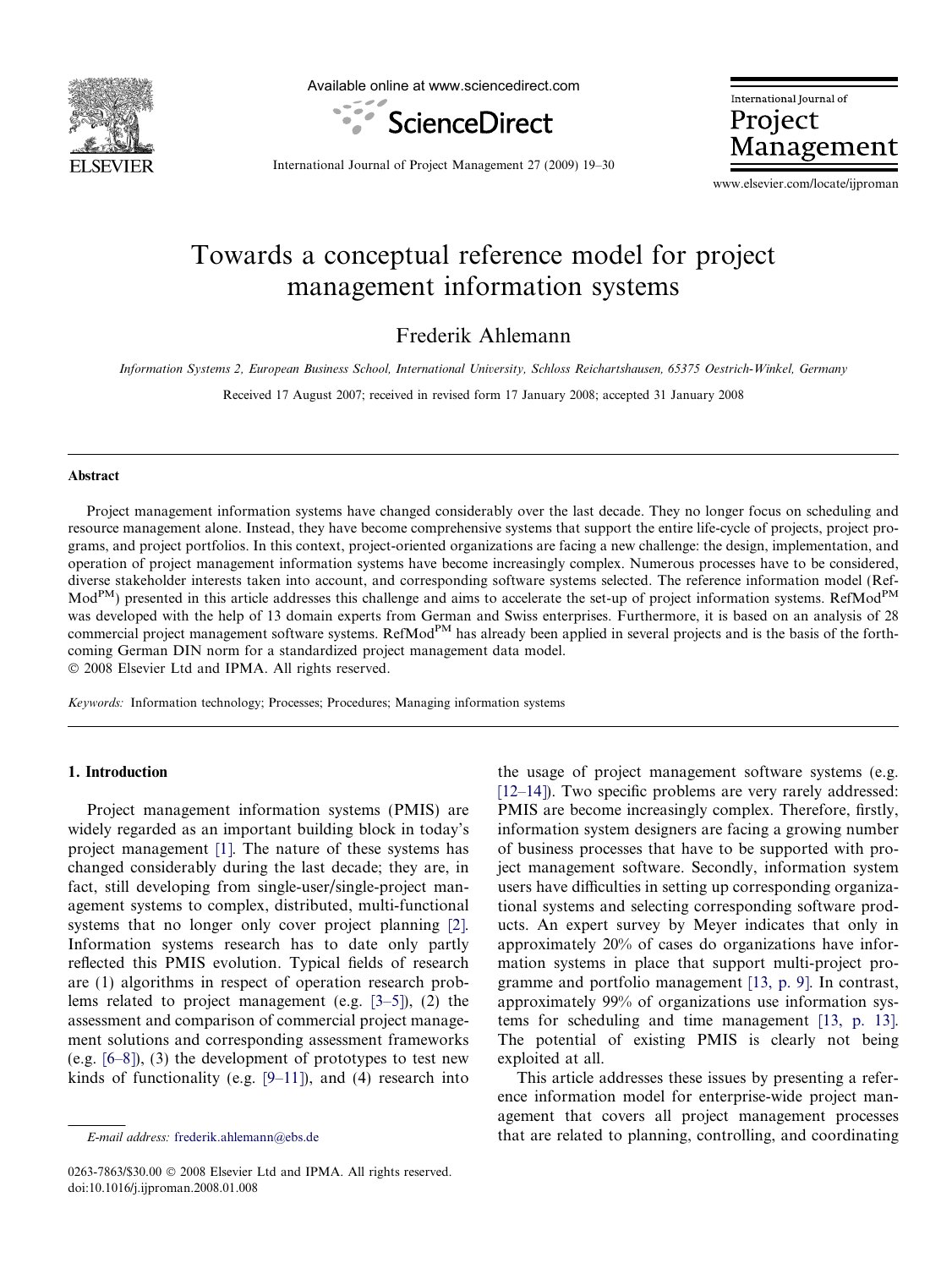

Available online at www.sciencedirect.com



International Journal of Project Management

International Journal of Project Management 27 (2009) 19–30

www.elsevier.com/locate/ijproman

# Towards a conceptual reference model for project management information systems

Frederik Ahlemann

Information Systems 2, European Business School, International University, Schloss Reichartshausen, 65375 Oestrich-Winkel, Germany

Received 17 August 2007; received in revised form 17 January 2008; accepted 31 January 2008

#### Abstract

Project management information systems have changed considerably over the last decade. They no longer focus on scheduling and resource management alone. Instead, they have become comprehensive systems that support the entire life-cycle of projects, project programs, and project portfolios. In this context, project-oriented organizations are facing a new challenge: the design, implementation, and operation of project management information systems have become increasingly complex. Numerous processes have to be considered, diverse stakeholder interests taken into account, and corresponding software systems selected. The reference information model (Ref-Mod<sup>PM</sup>) presented in this article addresses this challenge and aims to accelerate the set-up of project information systems. RefMod<sup>PM</sup> was developed with the help of 13 domain experts from German and Swiss enterprises. Furthermore, it is based on an analysis of 28 commercial project management software systems. RefMod<sup>PM</sup> has already been applied in several projects and is the basis of the forthcoming German DIN norm for a standardized project management data model. - 2008 Elsevier Ltd and IPMA. All rights reserved.

Keywords: Information technology; Processes; Procedures; Managing information systems

#### 1. Introduction

Project management information systems (PMIS) are widely regarded as an important building block in today's project management [\[1\]](#page--1-0). The nature of these systems has changed considerably during the last decade; they are, in fact, still developing from single-user/single-project management systems to complex, distributed, multi-functional systems that no longer only cover project planning [\[2\].](#page--1-0) Information systems research has to date only partly reflected this PMIS evolution. Typical fields of research are (1) algorithms in respect of operation research problems related to project management (e.g. [\[3–5\]\)](#page--1-0), (2) the assessment and comparison of commercial project management solutions and corresponding assessment frameworks (e.g. [\[6–8\]\)](#page--1-0), (3) the development of prototypes to test new kinds of functionality (e.g. [\[9–11\]](#page--1-0)), and (4) research into the usage of project management software systems (e.g. [\[12–14\]\)](#page--1-0). Two specific problems are very rarely addressed: PMIS are become increasingly complex. Therefore, firstly, information system designers are facing a growing number of business processes that have to be supported with project management software. Secondly, information system users have difficulties in setting up corresponding organizational systems and selecting corresponding software products. An expert survey by Meyer indicates that only in approximately 20% of cases do organizations have information systems in place that support multi-project programme and portfolio management [\[13, p. 9\]](#page--1-0). In contrast, approximately 99% of organizations use information systems for scheduling and time management [\[13, p. 13\].](#page--1-0) The potential of existing PMIS is clearly not being exploited at all.

This article addresses these issues by presenting a reference information model for enterprise-wide project management that covers all project management processes that are related to planning, controlling, and coordinating

E-mail address: [frederik.ahlemann@ebs.de](mailto:frederik.ahlemann@ebs.de)

<sup>0263-7863/\$30.00 © 2008</sup> Elsevier Ltd and IPMA. All rights reserved. doi:10.1016/j.ijproman.2008.01.008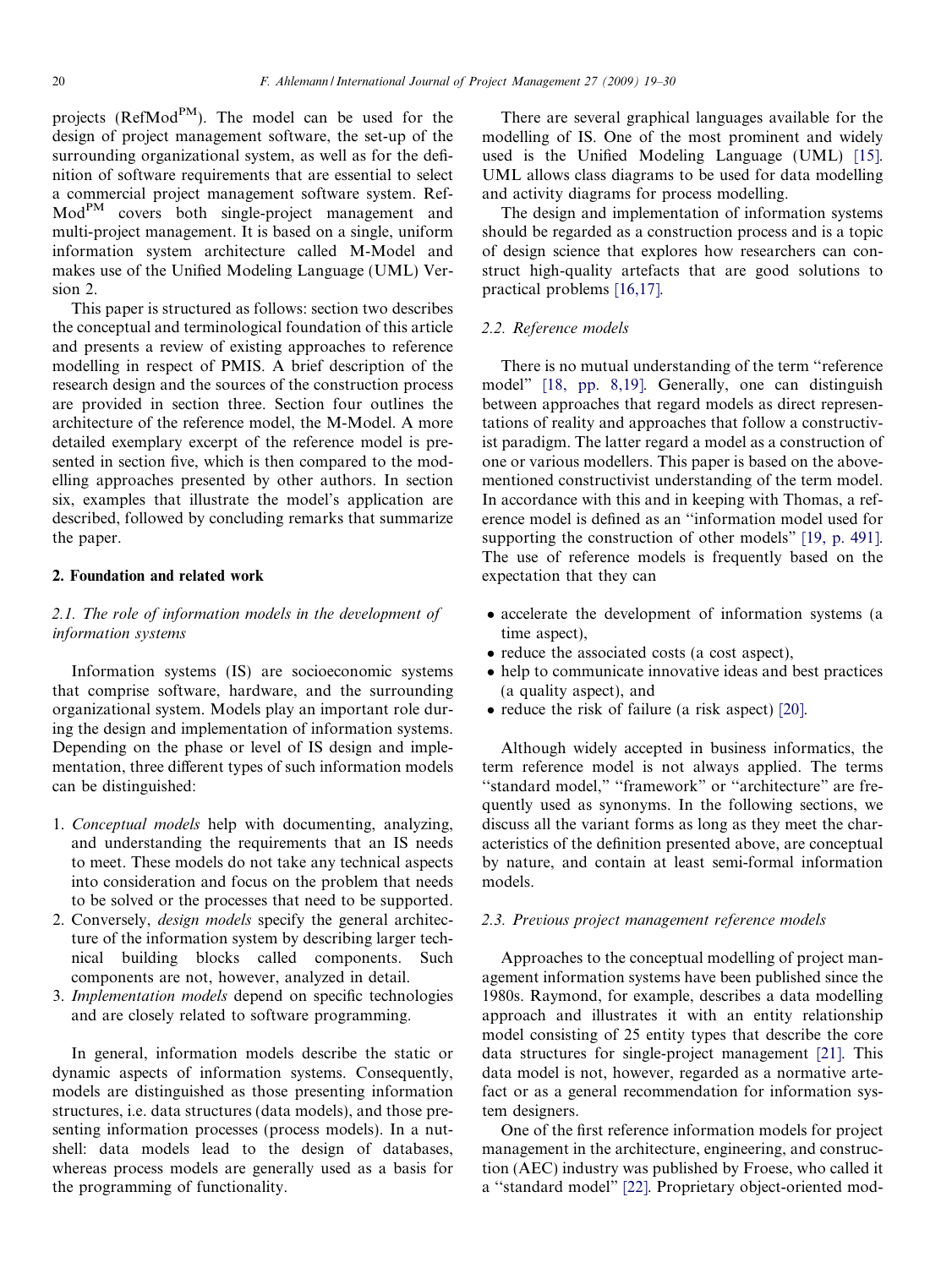projects (RefMod<sup>PM</sup>). The model can be used for the design of project management software, the set-up of the surrounding organizational system, as well as for the definition of software requirements that are essential to select a commercial project management software system. Ref-ModPM covers both single-project management and multi-project management. It is based on a single, uniform information system architecture called M-Model and makes use of the Unified Modeling Language (UML) Version 2.

This paper is structured as follows: section two describes the conceptual and terminological foundation of this article and presents a review of existing approaches to reference modelling in respect of PMIS. A brief description of the research design and the sources of the construction process are provided in section three. Section four outlines the architecture of the reference model, the M-Model. A more detailed exemplary excerpt of the reference model is presented in section five, which is then compared to the modelling approaches presented by other authors. In section six, examples that illustrate the model's application are described, followed by concluding remarks that summarize the paper.

### 2. Foundation and related work

## 2.1. The role of information models in the development of information systems

Information systems (IS) are socioeconomic systems that comprise software, hardware, and the surrounding organizational system. Models play an important role during the design and implementation of information systems. Depending on the phase or level of IS design and implementation, three different types of such information models can be distinguished:

- 1. Conceptual models help with documenting, analyzing, and understanding the requirements that an IS needs to meet. These models do not take any technical aspects into consideration and focus on the problem that needs to be solved or the processes that need to be supported.
- 2. Conversely, design models specify the general architecture of the information system by describing larger technical building blocks called components. Such components are not, however, analyzed in detail.
- 3. Implementation models depend on specific technologies and are closely related to software programming.

In general, information models describe the static or dynamic aspects of information systems. Consequently, models are distinguished as those presenting information structures, i.e. data structures (data models), and those presenting information processes (process models). In a nutshell: data models lead to the design of databases, whereas process models are generally used as a basis for the programming of functionality.

There are several graphical languages available for the modelling of IS. One of the most prominent and widely used is the Unified Modeling Language (UML) [\[15\]](#page--1-0). UML allows class diagrams to be used for data modelling and activity diagrams for process modelling.

The design and implementation of information systems should be regarded as a construction process and is a topic of design science that explores how researchers can construct high-quality artefacts that are good solutions to practical problems [\[16,17\].](#page--1-0)

#### 2.2. Reference models

There is no mutual understanding of the term ''reference model" [\[18, pp. 8,19\].](#page--1-0) Generally, one can distinguish between approaches that regard models as direct representations of reality and approaches that follow a constructivist paradigm. The latter regard a model as a construction of one or various modellers. This paper is based on the abovementioned constructivist understanding of the term model. In accordance with this and in keeping with Thomas, a reference model is defined as an ''information model used for supporting the construction of other models" [\[19, p. 491\]](#page--1-0). The use of reference models is frequently based on the expectation that they can

- accelerate the development of information systems (a time aspect).
- reduce the associated costs (a cost aspect),
- help to communicate innovative ideas and best practices (a quality aspect), and
- reduce the risk of failure (a risk aspect) [\[20\].](#page--1-0)

Although widely accepted in business informatics, the term reference model is not always applied. The terms "standard model," "framework" or "architecture" are frequently used as synonyms. In the following sections, we discuss all the variant forms as long as they meet the characteristics of the definition presented above, are conceptual by nature, and contain at least semi-formal information models.

### 2.3. Previous project management reference models

Approaches to the conceptual modelling of project management information systems have been published since the 1980s. Raymond, for example, describes a data modelling approach and illustrates it with an entity relationship model consisting of 25 entity types that describe the core data structures for single-project management [\[21\]](#page--1-0). This data model is not, however, regarded as a normative artefact or as a general recommendation for information system designers.

One of the first reference information models for project management in the architecture, engineering, and construction (AEC) industry was published by Froese, who called it a ''standard model" [\[22\]](#page--1-0). Proprietary object-oriented mod-